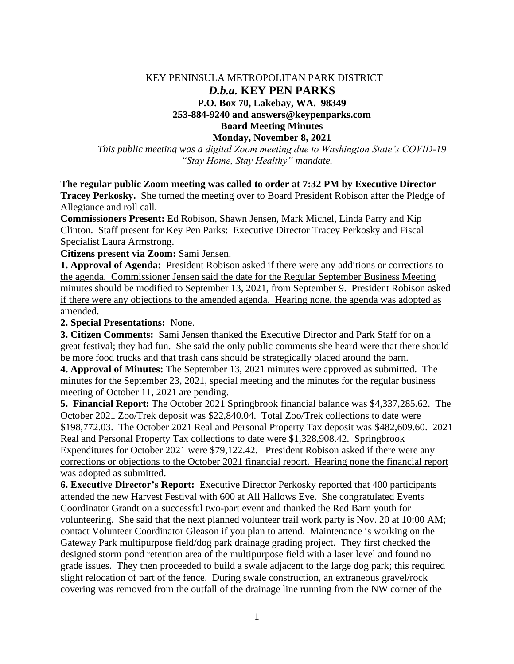## KEY PENINSULA METROPOLITAN PARK DISTRICT *D.b.a.* **KEY PEN PARKS P.O. Box 70, Lakebay, WA. 98349 253-884-9240 and answers@keypenparks.com Board Meeting Minutes Monday, November 8, 2021**

*This public meeting was a digital Zoom meeting due to Washington State's COVID-19 "Stay Home, Stay Healthy" mandate.*

**The regular public Zoom meeting was called to order at 7:32 PM by Executive Director** 

**Tracey Perkosky.** She turned the meeting over to Board President Robison after the Pledge of Allegiance and roll call.

**Commissioners Present:** Ed Robison, Shawn Jensen, Mark Michel, Linda Parry and Kip Clinton. Staff present for Key Pen Parks: Executive Director Tracey Perkosky and Fiscal Specialist Laura Armstrong.

**Citizens present via Zoom:** Sami Jensen.

**1. Approval of Agenda:** President Robison asked if there were any additions or corrections to the agenda. Commissioner Jensen said the date for the Regular September Business Meeting minutes should be modified to September 13, 2021, from September 9. President Robison asked if there were any objections to the amended agenda. Hearing none, the agenda was adopted as amended.

**2. Special Presentations:** None.

**3. Citizen Comments:** Sami Jensen thanked the Executive Director and Park Staff for on a great festival; they had fun. She said the only public comments she heard were that there should be more food trucks and that trash cans should be strategically placed around the barn.

**4. Approval of Minutes:** The September 13, 2021 minutes were approved as submitted. The minutes for the September 23, 2021, special meeting and the minutes for the regular business meeting of October 11, 2021 are pending.

**5. Financial Report:** The October 2021 Springbrook financial balance was \$4,337,285.62. The October 2021 Zoo/Trek deposit was \$22,840.04. Total Zoo/Trek collections to date were \$198,772.03. The October 2021 Real and Personal Property Tax deposit was \$482,609.60. 2021 Real and Personal Property Tax collections to date were \$1,328,908.42. Springbrook Expenditures for October 2021 were \$79,122.42. President Robison asked if there were any corrections or objections to the October 2021 financial report. Hearing none the financial report was adopted as submitted.

**6. Executive Director's Report:** Executive Director Perkosky reported that 400 participants attended the new Harvest Festival with 600 at All Hallows Eve. She congratulated Events Coordinator Grandt on a successful two-part event and thanked the Red Barn youth for volunteering. She said that the next planned volunteer trail work party is Nov. 20 at 10:00 AM; contact Volunteer Coordinator Gleason if you plan to attend. Maintenance is working on the Gateway Park multipurpose field/dog park drainage grading project. They first checked the designed storm pond retention area of the multipurpose field with a laser level and found no grade issues. They then proceeded to build a swale adjacent to the large dog park; this required slight relocation of part of the fence. During swale construction, an extraneous gravel/rock covering was removed from the outfall of the drainage line running from the NW corner of the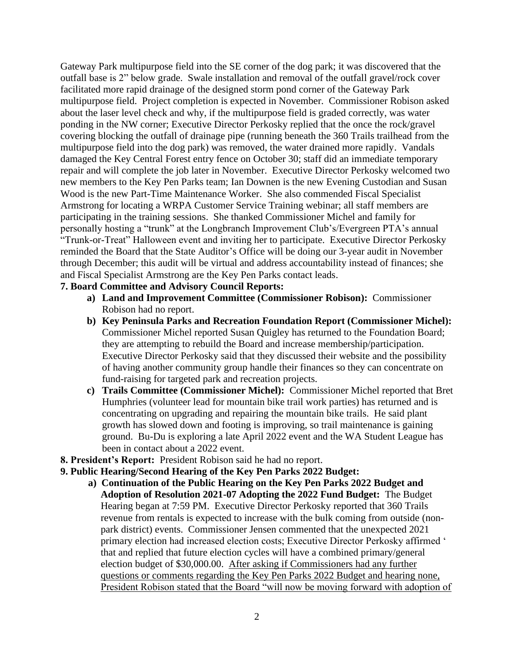Gateway Park multipurpose field into the SE corner of the dog park; it was discovered that the outfall base is 2" below grade. Swale installation and removal of the outfall gravel/rock cover facilitated more rapid drainage of the designed storm pond corner of the Gateway Park multipurpose field. Project completion is expected in November. Commissioner Robison asked about the laser level check and why, if the multipurpose field is graded correctly, was water ponding in the NW corner; Executive Director Perkosky replied that the once the rock/gravel covering blocking the outfall of drainage pipe (running beneath the 360 Trails trailhead from the multipurpose field into the dog park) was removed, the water drained more rapidly. Vandals damaged the Key Central Forest entry fence on October 30; staff did an immediate temporary repair and will complete the job later in November. Executive Director Perkosky welcomed two new members to the Key Pen Parks team; Ian Downen is the new Evening Custodian and Susan Wood is the new Part-Time Maintenance Worker. She also commended Fiscal Specialist Armstrong for locating a WRPA Customer Service Training webinar; all staff members are participating in the training sessions. She thanked Commissioner Michel and family for personally hosting a "trunk" at the Longbranch Improvement Club's/Evergreen PTA's annual "Trunk-or-Treat" Halloween event and inviting her to participate. Executive Director Perkosky reminded the Board that the State Auditor's Office will be doing our 3-year audit in November through December; this audit will be virtual and address accountability instead of finances; she and Fiscal Specialist Armstrong are the Key Pen Parks contact leads.

## **7. Board Committee and Advisory Council Reports:**

- **a) Land and Improvement Committee (Commissioner Robison):** Commissioner Robison had no report.
- **b) Key Peninsula Parks and Recreation Foundation Report (Commissioner Michel):** Commissioner Michel reported Susan Quigley has returned to the Foundation Board; they are attempting to rebuild the Board and increase membership/participation. Executive Director Perkosky said that they discussed their website and the possibility of having another community group handle their finances so they can concentrate on fund-raising for targeted park and recreation projects.
- **c) Trails Committee (Commissioner Michel):** Commissioner Michel reported that Bret Humphries (volunteer lead for mountain bike trail work parties) has returned and is concentrating on upgrading and repairing the mountain bike trails. He said plant growth has slowed down and footing is improving, so trail maintenance is gaining ground. Bu-Du is exploring a late April 2022 event and the WA Student League has been in contact about a 2022 event.
- **8. President's Report:** President Robison said he had no report.
- **9. Public Hearing/Second Hearing of the Key Pen Parks 2022 Budget:**
	- **a) Continuation of the Public Hearing on the Key Pen Parks 2022 Budget and Adoption of Resolution 2021-07 Adopting the 2022 Fund Budget:** The Budget Hearing began at 7:59 PM. Executive Director Perkosky reported that 360 Trails revenue from rentals is expected to increase with the bulk coming from outside (non park district) events. Commissioner Jensen commented that the unexpected 2021 primary election had increased election costs; Executive Director Perkosky affirmed ' that and replied that future election cycles will have a combined primary/general election budget of \$30,000.00. After asking if Commissioners had any further questions or comments regarding the Key Pen Parks 2022 Budget and hearing none, President Robison stated that the Board "will now be moving forward with adoption of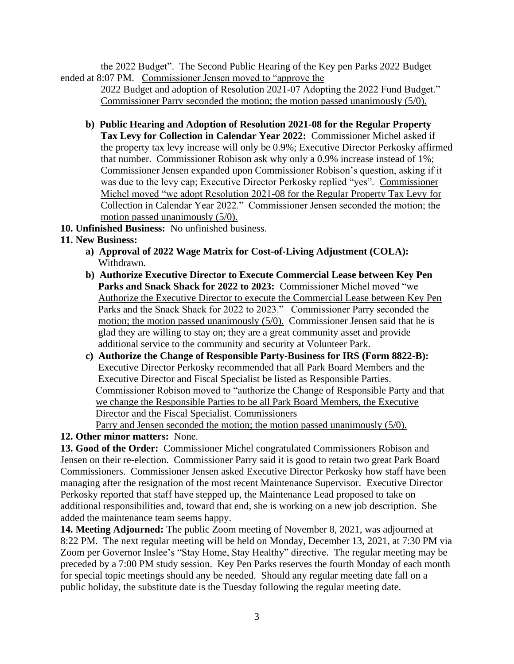the 2022 Budget". The Second Public Hearing of the Key pen Parks 2022 Budget ended at 8:07 PM. Commissioner Jensen moved to "approve the

 2022 Budget and adoption of Resolution 2021-07 Adopting the 2022 Fund Budget." Commissioner Parry seconded the motion; the motion passed unanimously (5/0).

- **b) Public Hearing and Adoption of Resolution 2021-08 for the Regular Property Tax Levy for Collection in Calendar Year 2022:** Commissioner Michel asked if the property tax levy increase will only be 0.9%; Executive Director Perkosky affirmed that number. Commissioner Robison ask why only a 0.9% increase instead of 1%; Commissioner Jensen expanded upon Commissioner Robison's question, asking if it was due to the levy cap; Executive Director Perkosky replied "yes". Commissioner Michel moved "we adopt Resolution 2021-08 for the Regular Property Tax Levy for Collection in Calendar Year 2022." Commissioner Jensen seconded the motion; the motion passed unanimously  $(5/0)$ .
- **10. Unfinished Business:** No unfinished business.
- **11. New Business:**
	- **a) Approval of 2022 Wage Matrix for Cost-of-Living Adjustment (COLA):** Withdrawn.
	- **b) Authorize Executive Director to Execute Commercial Lease between Key Pen Parks and Snack Shack for 2022 to 2023:** Commissioner Michel moved "we Authorize the Executive Director to execute the Commercial Lease between Key Pen Parks and the Snack Shack for 2022 to 2023." Commissioner Parry seconded the motion; the motion passed unanimously (5/0). Commissioner Jensen said that he is glad they are willing to stay on; they are a great community asset and provide additional service to the community and security at Volunteer Park.
	- **c) Authorize the Change of Responsible Party-Business for IRS (Form 8822-B):** Executive Director Perkosky recommended that all Park Board Members and the Executive Director and Fiscal Specialist be listed as Responsible Parties. Commissioner Robison moved to "authorize the Change of Responsible Party and that we change the Responsible Parties to be all Park Board Members, the Executive Director and the Fiscal Specialist. Commissioners

Parry and Jensen seconded the motion; the motion passed unanimously (5/0).

**12. Other minor matters:** None.

**13. Good of the Order:** Commissioner Michel congratulated Commissioners Robison and Jensen on their re-election. Commissioner Parry said it is good to retain two great Park Board Commissioners. Commissioner Jensen asked Executive Director Perkosky how staff have been managing after the resignation of the most recent Maintenance Supervisor. Executive Director Perkosky reported that staff have stepped up, the Maintenance Lead proposed to take on additional responsibilities and, toward that end, she is working on a new job description. She added the maintenance team seems happy.

**14. Meeting Adjourned:** The public Zoom meeting of November 8, 2021, was adjourned at 8:22 PM. The next regular meeting will be held on Monday, December 13, 2021, at 7:30 PM via Zoom per Governor Inslee's "Stay Home, Stay Healthy" directive. The regular meeting may be preceded by a 7:00 PM study session. Key Pen Parks reserves the fourth Monday of each month for special topic meetings should any be needed. Should any regular meeting date fall on a public holiday, the substitute date is the Tuesday following the regular meeting date.